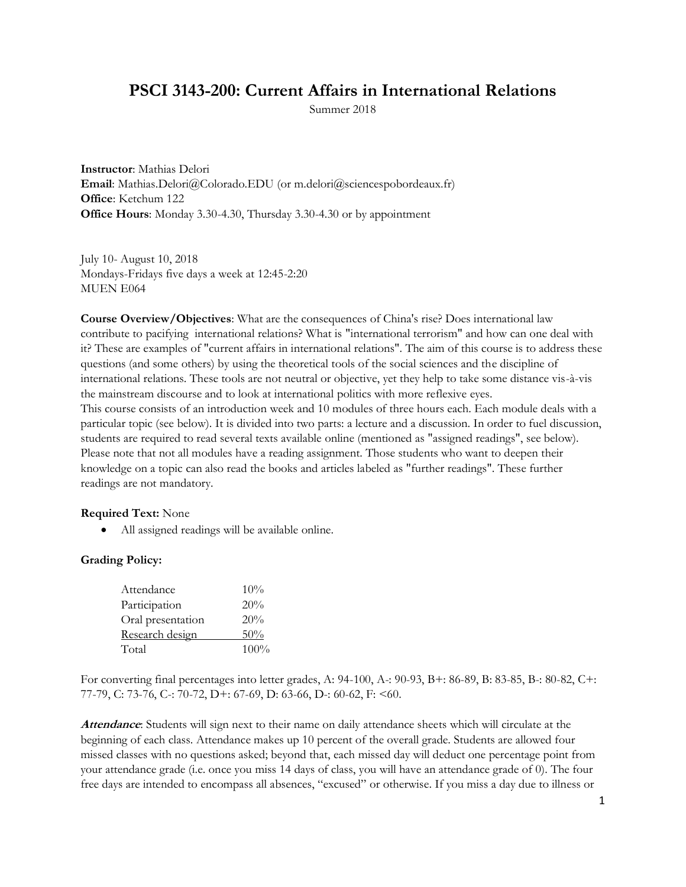# **PSCI 3143-200: Current Affairs in International Relations**

Summer 2018

**Instructor**: Mathias Delori **Email**: Mathias.Delori@Colorado.EDU (or m.delori@sciencespobordeaux.fr) **Office**: Ketchum 122 **Office Hours**: Monday 3.30-4.30, Thursday 3.30-4.30 or by appointment

July 10- August 10, 2018 Mondays-Fridays five days a week at 12:45-2:20 MUEN E064

**Course Overview/Objectives**: What are the consequences of China's rise? Does international law contribute to pacifying international relations? What is "international terrorism" and how can one deal with it? These are examples of "current affairs in international relations". The aim of this course is to address these questions (and some others) by using the theoretical tools of the social sciences and the discipline of international relations. These tools are not neutral or objective, yet they help to take some distance vis-à-vis the mainstream discourse and to look at international politics with more reflexive eyes. This course consists of an introduction week and 10 modules of three hours each. Each module deals with a particular topic (see below). It is divided into two parts: a lecture and a discussion. In order to fuel discussion, students are required to read several texts available online (mentioned as "assigned readings", see below). Please note that not all modules have a reading assignment. Those students who want to deepen their knowledge on a topic can also read the books and articles labeled as "further readings". These further readings are not mandatory.

#### **Required Text:** None

• All assigned readings will be available online.

## **Grading Policy:**

| Attendance        | 10%     |
|-------------------|---------|
| Participation     | 20%     |
| Oral presentation | 20%     |
| Research design   | 50%     |
| Total             | $100\%$ |

For converting final percentages into letter grades, A: 94-100, A-: 90-93, B+: 86-89, B: 83-85, B-: 80-82, C+: 77-79, C: 73-76, C-: 70-72, D+: 67-69, D: 63-66, D-: 60-62, F: <60.

**Attendance**: Students will sign next to their name on daily attendance sheets which will circulate at the beginning of each class. Attendance makes up 10 percent of the overall grade. Students are allowed four missed classes with no questions asked; beyond that, each missed day will deduct one percentage point from your attendance grade (i.e. once you miss 14 days of class, you will have an attendance grade of 0). The four free days are intended to encompass all absences, "excused" or otherwise. If you miss a day due to illness or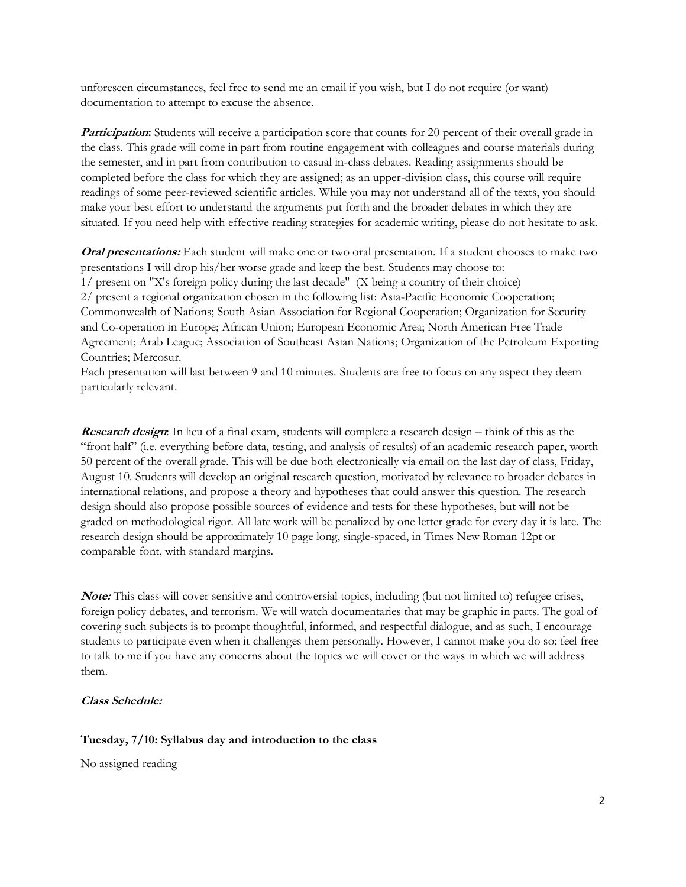unforeseen circumstances, feel free to send me an email if you wish, but I do not require (or want) documentation to attempt to excuse the absence.

**Participation:** Students will receive a participation score that counts for 20 percent of their overall grade in the class. This grade will come in part from routine engagement with colleagues and course materials during the semester, and in part from contribution to casual in-class debates. Reading assignments should be completed before the class for which they are assigned; as an upper-division class, this course will require readings of some peer-reviewed scientific articles. While you may not understand all of the texts, you should make your best effort to understand the arguments put forth and the broader debates in which they are situated. If you need help with effective reading strategies for academic writing, please do not hesitate to ask.

**Oral presentations:** Each student will make one or two oral presentation. If a student chooses to make two presentations I will drop his/her worse grade and keep the best. Students may choose to: 1/ present on "X's foreign policy during the last decade" (X being a country of their choice) 2/ present a regional organization chosen in the following list: Asia-Pacific Economic Cooperation; Commonwealth of Nations; South Asian Association for Regional Cooperation; Organization for Security and Co-operation in Europe; African Union; European Economic Area; North American Free Trade Agreement; Arab League; Association of Southeast Asian Nations; Organization of the Petroleum Exporting Countries; Mercosur.

Each presentation will last between 9 and 10 minutes. Students are free to focus on any aspect they deem particularly relevant.

**Research design**: In lieu of a final exam, students will complete a research design – think of this as the "front half" (i.e. everything before data, testing, and analysis of results) of an academic research paper, worth 50 percent of the overall grade. This will be due both electronically via email on the last day of class, Friday, August 10. Students will develop an original research question, motivated by relevance to broader debates in international relations, and propose a theory and hypotheses that could answer this question. The research design should also propose possible sources of evidence and tests for these hypotheses, but will not be graded on methodological rigor. All late work will be penalized by one letter grade for every day it is late. The research design should be approximately 10 page long, single-spaced, in Times New Roman 12pt or comparable font, with standard margins.

**Note:** This class will cover sensitive and controversial topics, including (but not limited to) refugee crises, foreign policy debates, and terrorism. We will watch documentaries that may be graphic in parts. The goal of covering such subjects is to prompt thoughtful, informed, and respectful dialogue, and as such, I encourage students to participate even when it challenges them personally. However, I cannot make you do so; feel free to talk to me if you have any concerns about the topics we will cover or the ways in which we will address them.

#### **Class Schedule:**

## **Tuesday, 7/10: Syllabus day and introduction to the class**

No assigned reading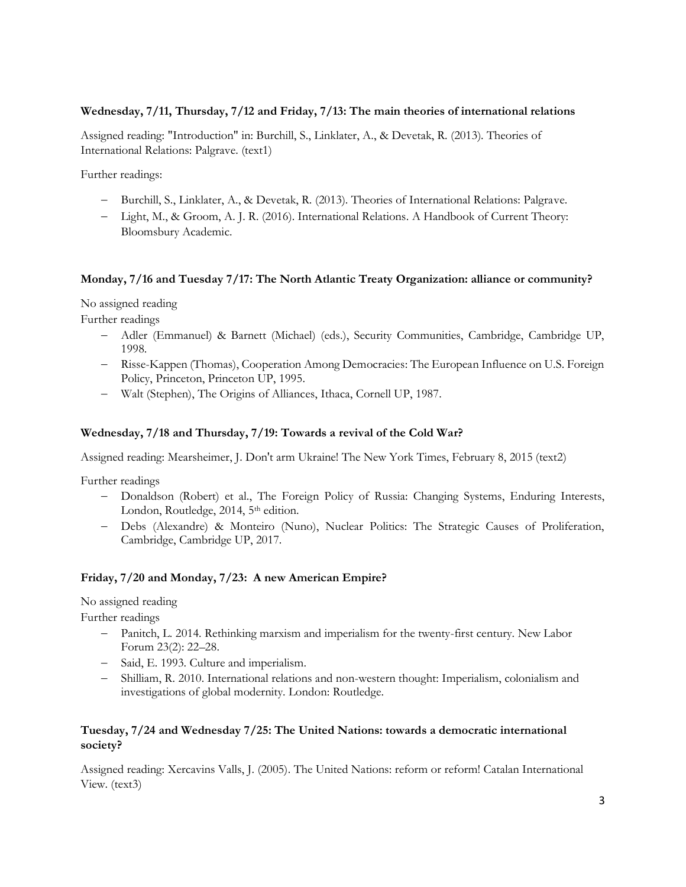#### **Wednesday, 7/11, Thursday, 7/12 and Friday, 7/13: The main theories of international relations**

Assigned reading: "Introduction" in: Burchill, S., Linklater, A., & Devetak, R. (2013). Theories of International Relations: Palgrave. (text1)

Further readings:

- − Burchill, S., Linklater, A., & Devetak, R. (2013). Theories of International Relations: Palgrave.
- − Light, M., & Groom, A. J. R. (2016). International Relations. A Handbook of Current Theory: Bloomsbury Academic.

#### **Monday, 7/16 and Tuesday 7/17: The North Atlantic Treaty Organization: alliance or community?**

No assigned reading

Further readings

- − Adler (Emmanuel) & Barnett (Michael) (eds.), Security Communities, Cambridge, Cambridge UP, 1998.
- − Risse-Kappen (Thomas), Cooperation Among Democracies: The European Influence on U.S. Foreign Policy, Princeton, Princeton UP, 1995.
- − Walt (Stephen), The Origins of Alliances, Ithaca, Cornell UP, 1987.

#### **Wednesday, 7/18 and Thursday, 7/19: Towards a revival of the Cold War?**

Assigned reading: Mearsheimer, J. Don't arm Ukraine! The New York Times, February 8, 2015 (text2)

Further readings

- − Donaldson (Robert) et al., The Foreign Policy of Russia: Changing Systems, Enduring Interests, London, Routledge, 2014, 5<sup>th</sup> edition.
- − Debs (Alexandre) & Monteiro (Nuno), Nuclear Politics: The Strategic Causes of Proliferation, Cambridge, Cambridge UP, 2017.

## **Friday, 7/20 and Monday, 7/23: A new American Empire?**

No assigned reading

Further readings

- − Panitch, L. 2014. Rethinking marxism and imperialism for the twenty-first century. New Labor Forum 23(2): 22–28.
- − Said, E. 1993. Culture and imperialism.
- − Shilliam, R. 2010. International relations and non-western thought: Imperialism, colonialism and investigations of global modernity. London: Routledge.

## **Tuesday, 7/24 and Wednesday 7/25: The United Nations: towards a democratic international society?**

Assigned reading: Xercavins Valls, J. (2005). The United Nations: reform or reform! Catalan International View. (text3)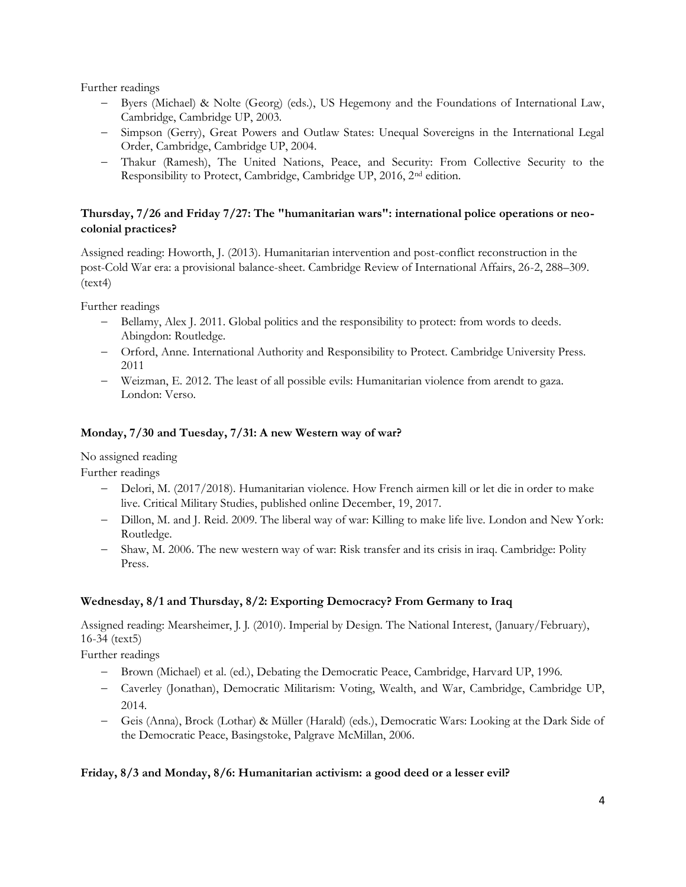Further readings

- − Byers (Michael) & Nolte (Georg) (eds.), US Hegemony and the Foundations of International Law, Cambridge, Cambridge UP, 2003.
- − Simpson (Gerry), Great Powers and Outlaw States: Unequal Sovereigns in the International Legal Order, Cambridge, Cambridge UP, 2004.
- − Thakur (Ramesh), The United Nations, Peace, and Security: From Collective Security to the Responsibility to Protect, Cambridge, Cambridge UP, 2016, 2nd edition.

# **Thursday, 7/26 and Friday 7/27: The "humanitarian wars": international police operations or neocolonial practices?**

Assigned reading: Howorth, J. (2013). Humanitarian intervention and post-conflict reconstruction in the post-Cold War era: a provisional balance-sheet. Cambridge Review of International Affairs, 26-2, 288–309.  $(text4)$ 

Further readings

- − Bellamy, Alex J. 2011. Global politics and the responsibility to protect: from words to deeds. Abingdon: Routledge.
- − Orford, Anne. International Authority and Responsibility to Protect. Cambridge University Press. 2011
- − Weizman, E. 2012. The least of all possible evils: Humanitarian violence from arendt to gaza. London: Verso.

# **Monday, 7/30 and Tuesday, 7/31: A new Western way of war?**

No assigned reading

Further readings

- − Delori, M. (2017/2018). Humanitarian violence. How French airmen kill or let die in order to make live. Critical Military Studies, published online December, 19, 2017.
- − Dillon, M. and J. Reid. 2009. The liberal way of war: Killing to make life live. London and New York: Routledge.
- − Shaw, M. 2006. The new western way of war: Risk transfer and its crisis in iraq. Cambridge: Polity Press.

# **Wednesday, 8/1 and Thursday, 8/2: Exporting Democracy? From Germany to Iraq**

Assigned reading: Mearsheimer, J. J. (2010). Imperial by Design. The National Interest, (January/February), 16-34 (text5)

Further readings

- − Brown (Michael) et al. (ed.), Debating the Democratic Peace, Cambridge, Harvard UP, 1996.
- − Caverley (Jonathan), Democratic Militarism: Voting, Wealth, and War, Cambridge, Cambridge UP, 2014.
- − Geis (Anna), Brock (Lothar) & Müller (Harald) (eds.), Democratic Wars: Looking at the Dark Side of the Democratic Peace, Basingstoke, Palgrave McMillan, 2006.

## **Friday, 8/3 and Monday, 8/6: Humanitarian activism: a good deed or a lesser evil?**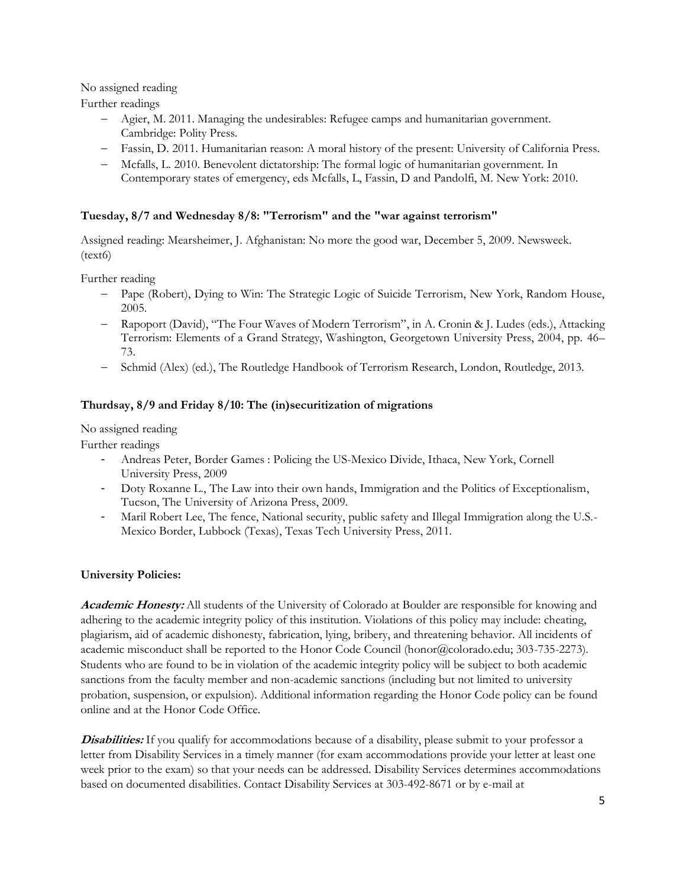No assigned reading

Further readings

- − Agier, M. 2011. Managing the undesirables: Refugee camps and humanitarian government. Cambridge: Polity Press.
- − Fassin, D. 2011. Humanitarian reason: A moral history of the present: University of California Press.
- − Mcfalls, L. 2010. Benevolent dictatorship: The formal logic of humanitarian government. In Contemporary states of emergency, eds Mcfalls, L, Fassin, D and Pandolfi, M. New York: 2010.

## **Tuesday, 8/7 and Wednesday 8/8: "Terrorism" and the "war against terrorism"**

Assigned reading: Mearsheimer, J. Afghanistan: No more the good war, December 5, 2009. Newsweek. (text6)

Further reading

- − Pape (Robert), Dying to Win: The Strategic Logic of Suicide Terrorism, New York, Random House, 2005.
- − Rapoport (David), "The Four Waves of Modern Terrorism", in A. Cronin & J. Ludes (eds.), Attacking Terrorism: Elements of a Grand Strategy, Washington, Georgetown University Press, 2004, pp. 46– 73.
- − Schmid (Alex) (ed.), The Routledge Handbook of Terrorism Research, London, Routledge, 2013.

## **Thurdsay, 8/9 and Friday 8/10: The (in)securitization of migrations**

No assigned reading

Further readings

- Andreas Peter, Border Games : Policing the US-Mexico Divide, Ithaca, New York, Cornell University Press, 2009
- Doty Roxanne L., The Law into their own hands, Immigration and the Politics of Exceptionalism, Tucson, The University of Arizona Press, 2009.
- Maril Robert Lee, The fence, National security, public safety and Illegal Immigration along the U.S.-Mexico Border, Lubbock (Texas), Texas Tech University Press, 2011.

## **University Policies:**

**Academic Honesty:** All students of the University of Colorado at Boulder are responsible for knowing and adhering to the academic integrity policy of this institution. Violations of this policy may include: cheating, plagiarism, aid of academic dishonesty, fabrication, lying, bribery, and threatening behavior. All incidents of academic misconduct shall be reported to the Honor Code Council (honor@colorado.edu; 303-735-2273). Students who are found to be in violation of the academic integrity policy will be subject to both academic sanctions from the faculty member and non-academic sanctions (including but not limited to university probation, suspension, or expulsion). Additional information regarding the Honor Code policy can be found online and at the Honor Code Office.

**Disabilities:** If you qualify for accommodations because of a disability, please submit to your professor a letter from Disability Services in a timely manner (for exam accommodations provide your letter at least one week prior to the exam) so that your needs can be addressed. Disability Services determines accommodations based on documented disabilities. Contact Disability Services at 303-492-8671 or by e-mail at